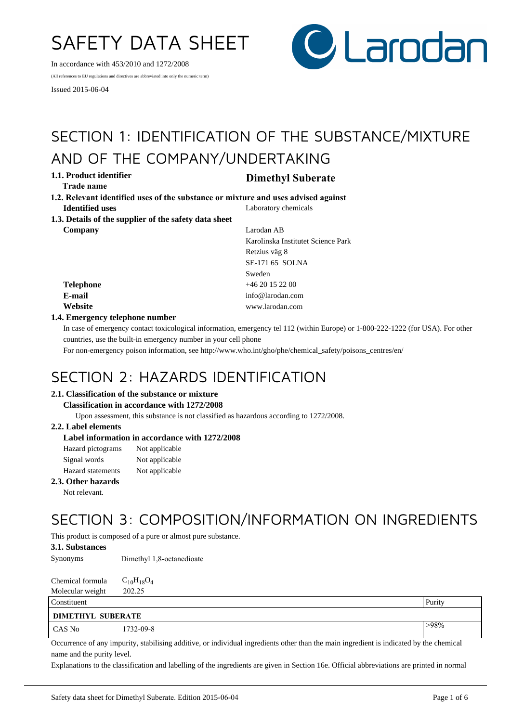# SAFETY DATA SHEET

In accordance with 453/2010 and 1272/2008

(All references to EU regulations and directives are abbreviated into only the numeric term)

Issued 2015-06-04



## SECTION 1: IDENTIFICATION OF THE SUBSTANCE/MIXTURE AND OF THE COMPANY/UNDERTAKING

**1.1. Product identifier Dimethyl Suberate Trade name** 

- **Identified uses** Laboratory chemicals **1.2. Relevant identified uses of the substance or mixture and uses advised against**
- **1.3. Details of the supplier of the safety data sheet Company** Larodan AB

Karolinska Institutet Science Park Retzius väg 8 SE-171 65 SOLNA Sweden **Telephone** +46 20 15 22 00 **E-mail** info@larodan.com **Website** www.larodan.com

## **1.4. Emergency telephone number**

In case of emergency contact toxicological information, emergency tel 112 (within Europe) or 1-800-222-1222 (for USA). For other countries, use the built-in emergency number in your cell phone

For non-emergency poison information, see http://www.who.int/gho/phe/chemical\_safety/poisons\_centres/en/

## SECTION 2: HAZARDS IDENTIFICATION

## **2.1. Classification of the substance or mixture**

#### **Classification in accordance with 1272/2008**

Upon assessment, this substance is not classified as hazardous according to 1272/2008.

## **2.2. Label elements**

## **Label information in accordance with 1272/2008**

| Hazard pictograms        | Not applicable |
|--------------------------|----------------|
| Signal words             | Not applicable |
| <b>Hazard</b> statements | Not applicable |

#### **2.3. Other hazards**

Not relevant.

## SECTION 3: COMPOSITION/INFORMATION ON INGREDIENTS

This product is composed of a pure or almost pure substance.

## **3.1. Substances**

Synonyms Dimethyl 1,8-octanedioate

| Chemical formula | $C_{10}H_{18}O_4$ |
|------------------|-------------------|
| Molecular weight | 202.25            |

| Constituent              |           | Purity  |  |
|--------------------------|-----------|---------|--|
| <b>DIMETHYL SUBERATE</b> |           |         |  |
| CAS No                   | 1732-09-8 | $>98\%$ |  |

Occurrence of any impurity, stabilising additive, or individual ingredients other than the main ingredient is indicated by the chemical name and the purity level.

Explanations to the classification and labelling of the ingredients are given in Section 16e. Official abbreviations are printed in normal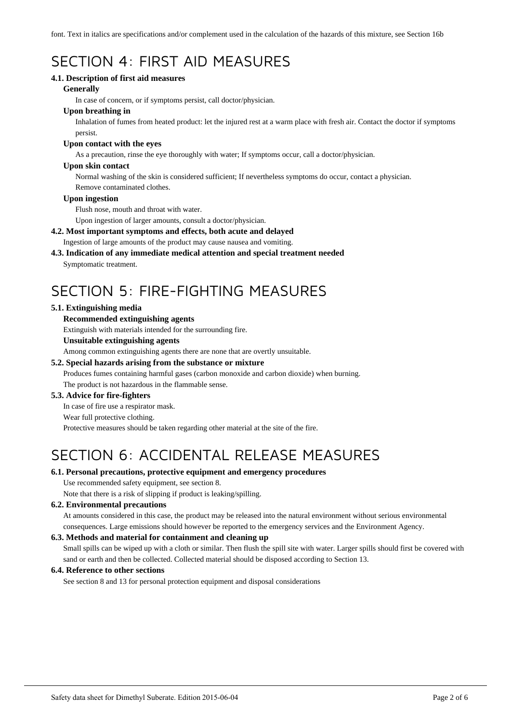font. Text in italics are specifications and/or complement used in the calculation of the hazards of this mixture, see Section 16b

## SECTION 4: FIRST AID MEASURES

## **4.1. Description of first aid measures**

### **Generally**

In case of concern, or if symptoms persist, call doctor/physician.

## **Upon breathing in**

Inhalation of fumes from heated product: let the injured rest at a warm place with fresh air. Contact the doctor if symptoms persist.

### **Upon contact with the eyes**

As a precaution, rinse the eye thoroughly with water; If symptoms occur, call a doctor/physician.

#### **Upon skin contact**

Normal washing of the skin is considered sufficient; If nevertheless symptoms do occur, contact a physician. Remove contaminated clothes.

#### **Upon ingestion**

Flush nose, mouth and throat with water.

Upon ingestion of larger amounts, consult a doctor/physician.

## **4.2. Most important symptoms and effects, both acute and delayed**

Ingestion of large amounts of the product may cause nausea and vomiting.

## **4.3. Indication of any immediate medical attention and special treatment needed**

Symptomatic treatment.

## SECTION 5: FIRE-FIGHTING MEASURES

## **5.1. Extinguishing media**

## **Recommended extinguishing agents**

Extinguish with materials intended for the surrounding fire.

#### **Unsuitable extinguishing agents**

Among common extinguishing agents there are none that are overtly unsuitable.

## **5.2. Special hazards arising from the substance or mixture**

Produces fumes containing harmful gases (carbon monoxide and carbon dioxide) when burning. The product is not hazardous in the flammable sense.

## **5.3. Advice for fire-fighters**

In case of fire use a respirator mask.

#### Wear full protective clothing.

Protective measures should be taken regarding other material at the site of the fire.

## SECTION 6: ACCIDENTAL RELEASE MEASURES

## **6.1. Personal precautions, protective equipment and emergency procedures**

Use recommended safety equipment, see section 8.

Note that there is a risk of slipping if product is leaking/spilling.

## **6.2. Environmental precautions**

At amounts considered in this case, the product may be released into the natural environment without serious environmental consequences. Large emissions should however be reported to the emergency services and the Environment Agency.

## **6.3. Methods and material for containment and cleaning up**

Small spills can be wiped up with a cloth or similar. Then flush the spill site with water. Larger spills should first be covered with sand or earth and then be collected. Collected material should be disposed according to Section 13.

## **6.4. Reference to other sections**

See section 8 and 13 for personal protection equipment and disposal considerations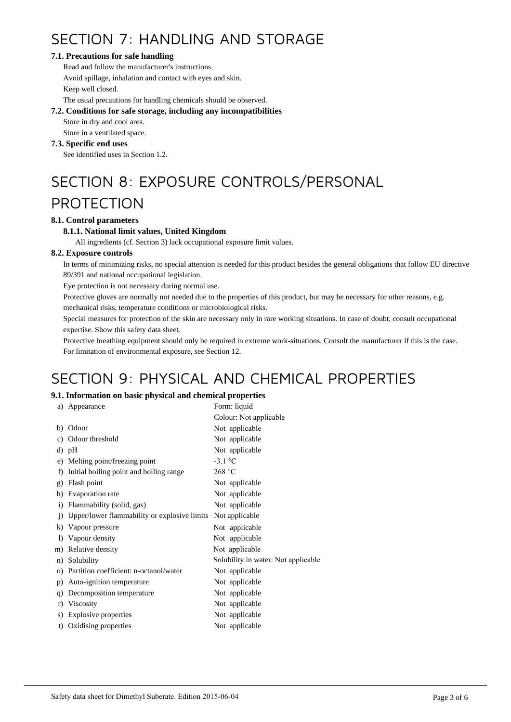## SECTION 7: HANDLING AND STORAGE

## **7.1. Precautions for safe handling**

Read and follow the manufacturer's instructions. Avoid spillage, inhalation and contact with eyes and skin. Keep well closed.

The usual precautions for handling chemicals should be observed.

## **7.2. Conditions for safe storage, including any incompatibilities**

Store in dry and cool area.

Store in a ventilated space.

## **7.3. Specific end uses**

See identified uses in Section 1.2.

# SECTION 8: EXPOSURE CONTROLS/PERSONAL

## PROTECTION

## **8.1. Control parameters**

## **8.1.1. National limit values, United Kingdom**

All ingredients (cf. Section 3) lack occupational exposure limit values.

## **8.2. Exposure controls**

In terms of minimizing risks, no special attention is needed for this product besides the general obligations that follow EU directive 89/391 and national occupational legislation.

Eye protection is not necessary during normal use.

Protective gloves are normally not needed due to the properties of this product, but may be necessary for other reasons, e.g.

mechanical risks, temperature conditions or microbiological risks.

Special measures for protection of the skin are necessary only in rare working situations. In case of doubt, consult occupational expertise. Show this safety data sheet.

Protective breathing equipment should only be required in extreme work-situations. Consult the manufacturer if this is the case. For limitation of environmental exposure, see Section 12.

## SECTION 9: PHYSICAL AND CHEMICAL PROPERTIES

## **9.1. Information on basic physical and chemical properties**

| a)             | Appearance                                   | Form: liquid                        |
|----------------|----------------------------------------------|-------------------------------------|
|                |                                              | Colour: Not applicable              |
|                | b) Odour                                     | Not applicable                      |
| c)             | Odour threshold                              | Not applicable                      |
|                | d) pH                                        | Not applicable                      |
|                | e) Melting point/freezing point              | $-3.1$ °C                           |
| f)             | Initial boiling point and boiling range      | 268 °C                              |
| g)             | Flash point                                  | Not applicable                      |
| h)             | Evaporation rate                             | Not applicable                      |
| $\mathbf{i}$   | Flammability (solid, gas)                    | Not applicable                      |
| $\overline{1}$ | Upper/lower flammability or explosive limits | Not applicable                      |
| k)             | Vapour pressure                              | Not applicable                      |
| $\bf{D}$       | Vapour density                               | Not applicable                      |
|                | m) Relative density                          | Not applicable                      |
| n)             | Solubility                                   | Solubility in water: Not applicable |
| O)             | Partition coefficient: n-octanol/water       | Not applicable                      |
| p)             | Auto-ignition temperature                    | Not applicable                      |
| q)             | Decomposition temperature                    | Not applicable                      |
| r)             | Viscosity                                    | Not applicable                      |
| S)             | Explosive properties                         | Not applicable                      |
| t)             | Oxidising properties                         | Not applicable                      |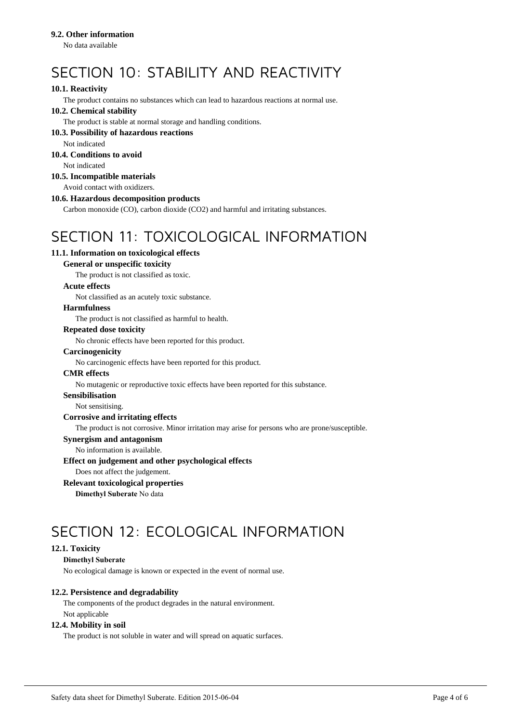## **9.2. Other information**

No data available

## SECTION 10: STABILITY AND REACTIVITY

## **10.1. Reactivity**

The product contains no substances which can lead to hazardous reactions at normal use.

## **10.2. Chemical stability**

The product is stable at normal storage and handling conditions.

#### **10.3. Possibility of hazardous reactions**

Not indicated

## **10.4. Conditions to avoid**

Not indicated

## **10.5. Incompatible materials**

Avoid contact with oxidizers.

## **10.6. Hazardous decomposition products**

Carbon monoxide (CO), carbon dioxide (CO2) and harmful and irritating substances.

## SECTION 11: TOXICOLOGICAL INFORMATION

## **11.1. Information on toxicological effects**

## **General or unspecific toxicity**

The product is not classified as toxic.

#### **Acute effects**

Not classified as an acutely toxic substance.

### **Harmfulness**

The product is not classified as harmful to health.

## **Repeated dose toxicity**

No chronic effects have been reported for this product.

#### **Carcinogenicity**

No carcinogenic effects have been reported for this product.

#### **CMR effects**

No mutagenic or reproductive toxic effects have been reported for this substance.

#### **Sensibilisation**

Not sensitising.

## **Corrosive and irritating effects**

The product is not corrosive. Minor irritation may arise for persons who are prone/susceptible.

#### **Synergism and antagonism**

No information is available.

#### **Effect on judgement and other psychological effects**

Does not affect the judgement.

#### **Relevant toxicological properties**

**Dimethyl Suberate** No data

## SECTION 12: ECOLOGICAL INFORMATION

## **12.1. Toxicity**

## **Dimethyl Suberate**

No ecological damage is known or expected in the event of normal use.

## **12.2. Persistence and degradability**

The components of the product degrades in the natural environment. Not applicable

### **12.4. Mobility in soil**

The product is not soluble in water and will spread on aquatic surfaces.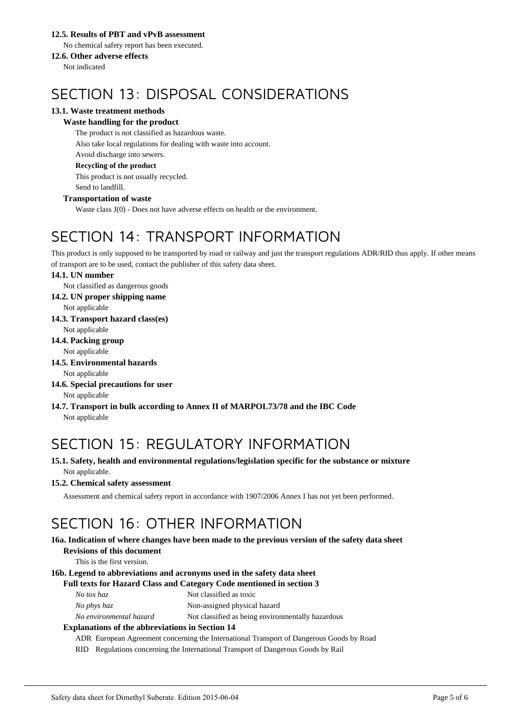## **12.5. Results of PBT and vPvB assessment**

No chemical safety report has been executed.

## **12.6. Other adverse effects**

Not indicated

## SECTION 13: DISPOSAL CONSIDERATIONS

## **13.1. Waste treatment methods**

## **Waste handling for the product**

The product is not classified as hazardous waste. Also take local regulations for dealing with waste into account. Avoid discharge into sewers. **Recycling of the product**

This product is not usually recycled. Send to landfill.

## **Transportation of waste**

Waste class J(0) - Does not have adverse effects on health or the environment.

## SECTION 14: TRANSPORT INFORMATION

This product is only supposed to be transported by road or railway and just the transport regulations ADR/RID thus apply. If other means of transport are to be used, contact the publisher of this safety data sheet.

## **14.1. UN number**

Not classified as dangerous goods

**14.2. UN proper shipping name**

Not applicable

**14.3. Transport hazard class(es)**

Not applicable

**14.4. Packing group**

Not applicable

**14.5. Environmental hazards**

Not applicable

- **14.6. Special precautions for user** Not applicable
- **14.7. Transport in bulk according to Annex II of MARPOL73/78 and the IBC Code** Not applicable

## SECTION 15: REGULATORY INFORMATION

**15.1. Safety, health and environmental regulations/legislation specific for the substance or mixture** Not applicable.

## **15.2. Chemical safety assessment**

Assessment and chemical safety report in accordance with 1907/2006 Annex I has not yet been performed.

## SECTION 16: OTHER INFORMATION

#### **16a. Indication of where changes have been made to the previous version of the safety data sheet Revisions of this document**

This is the first version.

## **16b. Legend to abbreviations and acronyms used in the safety data sheet**

## **Full texts for Hazard Class and Category Code mentioned in section 3**

*No phys haz* Non-assigned physical hazard

*No environmental hazard* Not classified as being environmentally hazardous

## **Explanations of the abbreviations in Section 14**

ADR European Agreement concerning the International Transport of Dangerous Goods by Road

RID Regulations concerning the International Transport of Dangerous Goods by Rail